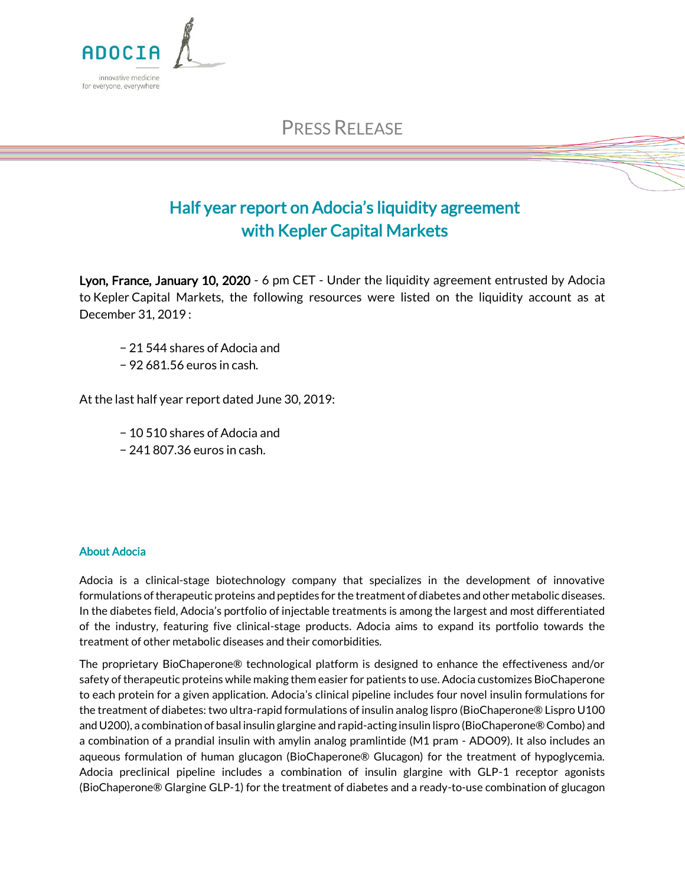

## Half year report on Adocia's liquidity agreement with Kepler Capital Markets

Lyon, France, January 10, 2020 - 6 pm CET - Under the liquidity agreement entrusted by Adocia to Kepler Capital Markets, the following resources were listed on the liquidity account as at December 31, 2019 :

- − 21 544 shares of Adocia and
- − 92 681.56 euros in cash.

At the last half year report dated June 30, 2019:

- − 10 510 shares of Adocia and
- − 241 807.36 euros in cash.

## About Adocia

ADOCIA

innovative medicine for everyone, everywhere

Adocia is a clinical-stage biotechnology company that specializes in the development of innovative formulations of therapeutic proteins and peptides for the treatment of diabetes and other metabolic diseases. In the diabetes field, Adocia's portfolio of injectable treatments is among the largest and most differentiated of the industry, featuring five clinical-stage products. Adocia aims to expand its portfolio towards the treatment of other metabolic diseases and their comorbidities.

The proprietary BioChaperone® technological platform is designed to enhance the effectiveness and/or safety of therapeutic proteins while making them easier for patients to use. Adocia customizes BioChaperone to each protein for a given application. Adocia's clinical pipeline includes four novel insulin formulations for the treatment of diabetes: two ultra-rapid formulations of insulin analog lispro (BioChaperone® Lispro U100 and U200), a combination of basal insulin glargine and rapid-acting insulin lispro (BioChaperone® Combo) and a combination of a prandial insulin with amylin analog pramlintide (M1 pram - ADO09). It also includes an aqueous formulation of human glucagon (BioChaperone® Glucagon) for the treatment of hypoglycemia. Adocia preclinical pipeline includes a combination of insulin glargine with GLP-1 receptor agonists (BioChaperone® Glargine GLP-1) for the treatment of diabetes and a ready-to-use combination of glucagon